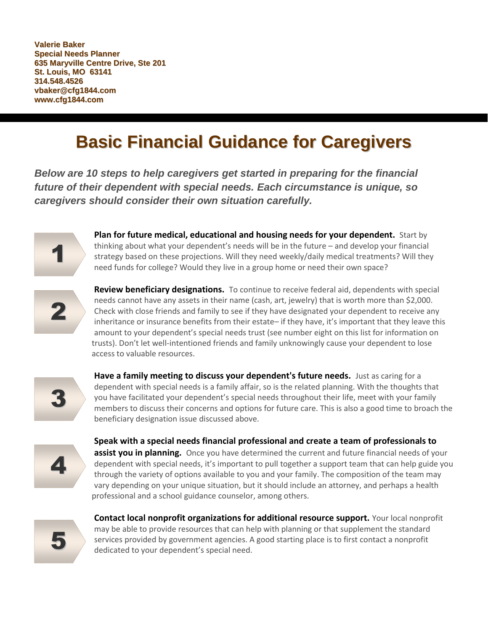**Valerie Baker Special Needs Planner 635 Maryville Centre Drive, Ste 201 St. Louis, MO 63141 314.548.4526 vbaker@cfg1844.com www.cfg1844.com**

## **Basic Financial Guidance for Caregivers**

*Below are 10 steps to help caregivers get started in preparing for the financial future of their dependent with special needs. Each circumstance is unique, so caregivers should consider their own situation carefully.*



**Plan for future medical, educational and housing needs for your dependent.** Start by thinking about what your dependent's needs will be in the future – and develop your financial strategy based on these projections. Will they need weekly/daily medical treatments? Will they need funds for college? Would they live in a group home or need their own space?



**Review beneficiary designations.** To continue to receive federal aid, dependents with special needs cannot have any assets in their name (cash, art, jewelry) that is worth more than \$2,000. Check with close friends and family to see if they have designated your dependent to receive any inheritance or insurance benefits from their estate– if they have, it's important that they leave this amount to your dependent's special needs trust (see number eight on this list for information on trusts). Don't let well-intentioned friends and family unknowingly cause your dependent to lose access to valuable resources.



**Have a family meeting to discuss your dependent's future needs.** Just as caring for a dependent with special needs is a family affair, so is the related planning. With the thoughts that you have facilitated your dependent's special needs throughout their life, meet with your family members to discuss their concerns and options for future care. This is also a good time to broach the beneficiary designation issue discussed above.



**Speak with a special needs financial professional and create a team of professionals to assist you in planning.** Once you have determined the current and future financial needs of your dependent with special needs, it's important to pull together a support team that can help guide you through the variety of options available to you and your family. The composition of the team may vary depending on your unique situation, but it should include an attorney, and perhaps a health professional and a school guidance counselor, among others.



**Contact local nonprofit organizations for additional resource support.** Your local nonprofit may be able to provide resources that can help with planning or that supplement the standard services provided by government agencies. A good starting place is to first contact a nonprofit dedicated to your dependent's special need.